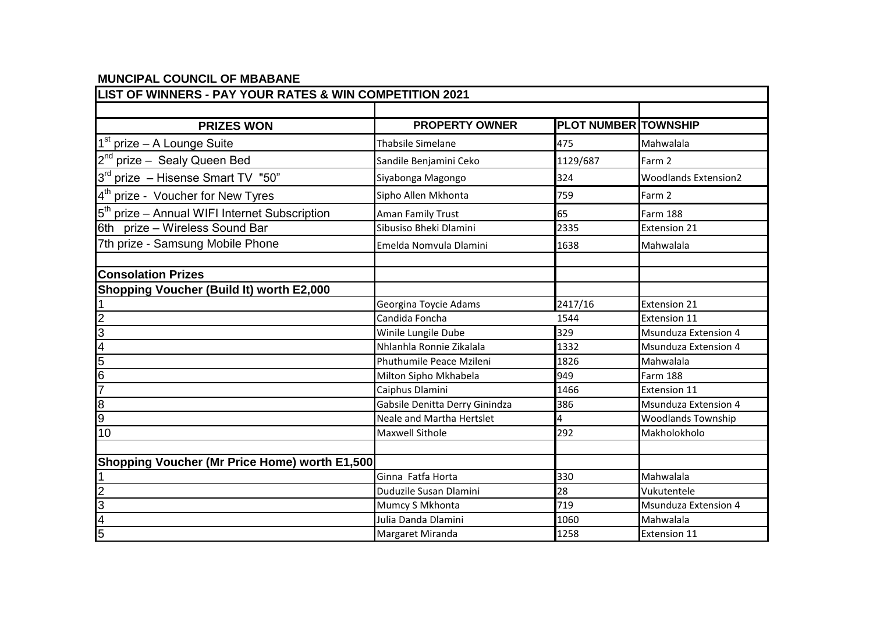## **LIST OF WINNERS - PAY YOUR RATES & WIN COMPETITION 2021 PRIZES WON PROPERTY OWNER PLOT NUMBER TOWNSHIP** 1 prize – A Lounge Suite **Suite Example 2018** Thabsile Simelane **1988** And 175 Mahwalala 2<sup>nd</sup> prize – Sealy Queen Bed **Sandile Benjamini Ceko** 1129/687 Farm 2 3 rd prize – Hisense Smart TV "50" Siyabonga Magongo 324 Woodlands Extension2 4 prize - Voucher for New Tyres Sipho Allen Mkhonta 759 Farm 2 5<sup>th</sup> prize – Annual WIFI Internet Subscription and Aman Family Trust **65** 65 Farm 188 6th prize – Wireless Sound Bar Subusiso Bheki Dlamini 2335 Extension 21 7th prize - Samsung Mobile Phone **Emelda Nomvula Dlamini** 1638 Mahwalala **Consolation Prizes Shopping Voucher (Build It) worth E2,000**  1 Georgina Toycie Adams 2417/16 Extension 21 2 Candida Foncha 2012 1544 Extension 11 3 Winile Lungile Dube 329 Msunduza Extension 4 4 Nhlanhla Ronnie Zikalala 1332 Msunduza Extension 4 **1826 Phuthumile Peace Mzileni** Mahwalala 6 Milton Sipho Mkhabela 949 Farm 188 7 Caiphus Dlamini 2008 2016 1466 Extension 11 8 Best 1986 and the USA of Gabsile Denitta Derry Ginindza 1986 and Msunduza Extension 4 9 Neale and Martha Hertslet **14** Woodlands Township and Martha Hertslet and Martha Hertslet **4** Woodlands Township 10 Maxwell Sithole 292 Makholokholo **Shopping Voucher (Mr Price Home) worth E1,500** 1 Ginna Fatfa Horta 330 Mahwalala **Duduzile Susan Dlamini** 28 Vukutentele **3** Mumcy S Mkhonta **1988** Mumcy S Mkhonta **1988** Msunduza Extension 4 4 Julia Danda Dlamini 1060 Mahwalala

**5 Margaret Miranda** 1258 **Extension 11 Extension 11** 

**MUNCIPAL COUNCIL OF MBABANE**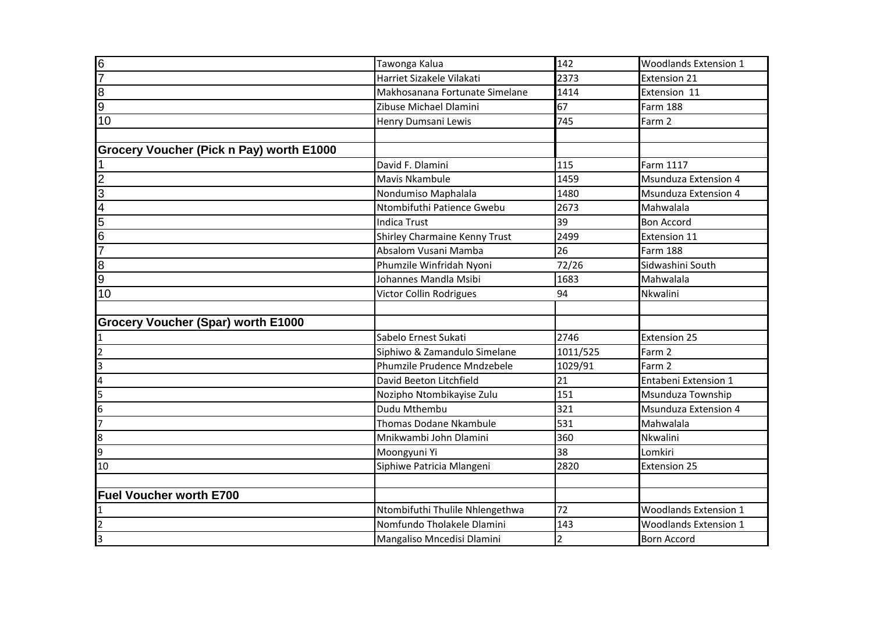| 6                                         | Tawonga Kalua                   | 142            | <b>Woodlands Extension 1</b> |  |
|-------------------------------------------|---------------------------------|----------------|------------------------------|--|
| 17                                        | Harriet Sizakele Vilakati       | 2373           | <b>Extension 21</b>          |  |
| $\overline{8}$                            | Makhosanana Fortunate Simelane  | 1414           | Extension 11                 |  |
| 9                                         | Zibuse Michael Dlamini          | 67             | <b>Farm 188</b>              |  |
| 10                                        | Henry Dumsani Lewis             | 745            | Farm 2                       |  |
|                                           |                                 |                |                              |  |
| Grocery Voucher (Pick n Pay) worth E1000  |                                 |                |                              |  |
|                                           | David F. Dlamini                | 115            | Farm 1117                    |  |
| $\overline{2}$                            | Mavis Nkambule                  | 1459           | <b>Msunduza Extension 4</b>  |  |
| 3                                         | Nondumiso Maphalala             | 1480           | <b>Msunduza Extension 4</b>  |  |
| $\overline{4}$                            | Ntombifuthi Patience Gwebu      | 2673           | Mahwalala                    |  |
| $\overline{5}$                            | <b>Indica Trust</b>             | 39             | <b>Bon Accord</b>            |  |
| $\overline{6}$                            | Shirley Charmaine Kenny Trust   | 2499           | Extension 11                 |  |
|                                           | Absalom Vusani Mamba            | 26             | <b>Farm 188</b>              |  |
| 8                                         | Phumzile Winfridah Nyoni        | 72/26          | Sidwashini South             |  |
| 9                                         | Johannes Mandla Msibi           | 1683           | Mahwalala                    |  |
| 10                                        | Victor Collin Rodrigues         | 94             | Nkwalini                     |  |
|                                           |                                 |                |                              |  |
| <b>Grocery Voucher (Spar) worth E1000</b> |                                 |                |                              |  |
|                                           | Sabelo Ernest Sukati            | 2746           | <b>Extension 25</b>          |  |
| $\overline{2}$                            | Siphiwo & Zamandulo Simelane    | 1011/525       | Farm 2                       |  |
| 3                                         | Phumzile Prudence Mndzebele     | 1029/91        | Farm 2                       |  |
| 4                                         | David Beeton Litchfield         | 21             | Entabeni Extension 1         |  |
| 5                                         | Nozipho Ntombikayise Zulu       | 151            | Msunduza Township            |  |
| 6                                         | Dudu Mthembu                    | 321            | <b>Msunduza Extension 4</b>  |  |
|                                           | Thomas Dodane Nkambule          | 531            | Mahwalala                    |  |
| 8                                         | Mnikwambi John Dlamini          | 360            | Nkwalini                     |  |
| l9                                        | Moongyuni Yi                    | 38             | Lomkiri                      |  |
| 10                                        | Siphiwe Patricia Mlangeni       | 2820           | <b>Extension 25</b>          |  |
|                                           |                                 |                |                              |  |
| <b>Fuel Voucher worth E700</b>            |                                 |                |                              |  |
| 1                                         | Ntombifuthi Thulile Nhlengethwa | 72             | <b>Woodlands Extension 1</b> |  |
| 2                                         | Nomfundo Tholakele Dlamini      | 143            | <b>Woodlands Extension 1</b> |  |
| l3                                        | Mangaliso Mncedisi Dlamini      | $\overline{2}$ | <b>Born Accord</b>           |  |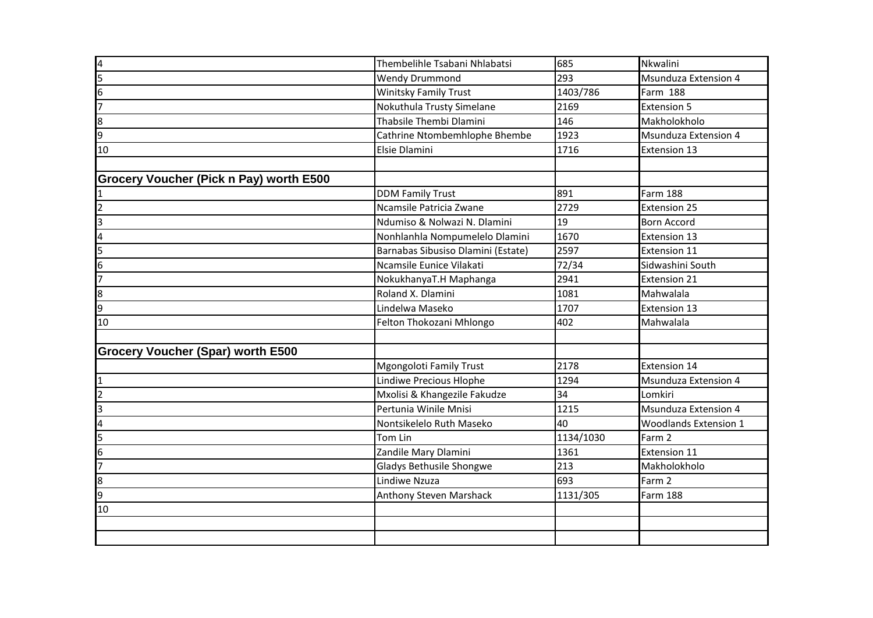| 10<br>Grocery Voucher (Pick n Pay) worth E500 | <b>Wendy Drummond</b><br>Winitsky Family Trust<br>Nokuthula Trusty Simelane<br>Thabsile Thembi Dlamini<br>Cathrine Ntombemhlophe Bhembe<br>Elsie Dlamini<br><b>DDM Family Trust</b><br>Ncamsile Patricia Zwane | 293<br>1403/786<br>2169<br>146<br>1923<br>1716<br>891 | <b>Msunduza Extension 4</b><br>Farm 188<br><b>Extension 5</b><br>Makholokholo<br><b>Msunduza Extension 4</b><br>Extension 13<br>Farm 188 |
|-----------------------------------------------|----------------------------------------------------------------------------------------------------------------------------------------------------------------------------------------------------------------|-------------------------------------------------------|------------------------------------------------------------------------------------------------------------------------------------------|
|                                               |                                                                                                                                                                                                                |                                                       |                                                                                                                                          |
|                                               |                                                                                                                                                                                                                |                                                       |                                                                                                                                          |
|                                               |                                                                                                                                                                                                                |                                                       |                                                                                                                                          |
|                                               |                                                                                                                                                                                                                |                                                       |                                                                                                                                          |
|                                               |                                                                                                                                                                                                                |                                                       |                                                                                                                                          |
|                                               |                                                                                                                                                                                                                |                                                       |                                                                                                                                          |
|                                               |                                                                                                                                                                                                                |                                                       |                                                                                                                                          |
|                                               |                                                                                                                                                                                                                |                                                       |                                                                                                                                          |
|                                               |                                                                                                                                                                                                                | 2729                                                  | Extension 25                                                                                                                             |
|                                               | Ndumiso & Nolwazi N. Dlamini                                                                                                                                                                                   | 19                                                    | <b>Born Accord</b>                                                                                                                       |
|                                               | Nonhlanhla Nompumelelo Dlamini                                                                                                                                                                                 | 1670                                                  | Extension 13                                                                                                                             |
|                                               | Barnabas Sibusiso Dlamini (Estate)                                                                                                                                                                             | 2597                                                  | Extension 11                                                                                                                             |
|                                               | Ncamsile Eunice Vilakati                                                                                                                                                                                       | 72/34                                                 | Sidwashini South                                                                                                                         |
|                                               | NokukhanyaT.H Maphanga                                                                                                                                                                                         | 2941                                                  | Extension 21                                                                                                                             |
|                                               | Roland X. Dlamini                                                                                                                                                                                              | 1081                                                  | Mahwalala                                                                                                                                |
|                                               | Lindelwa Maseko                                                                                                                                                                                                | 1707                                                  | Extension 13                                                                                                                             |
| 10                                            | Felton Thokozani Mhlongo                                                                                                                                                                                       | 402                                                   | Mahwalala                                                                                                                                |
| Grocery Voucher (Spar) worth E500             |                                                                                                                                                                                                                |                                                       |                                                                                                                                          |
|                                               | <b>Mgongoloti Family Trust</b>                                                                                                                                                                                 | 2178                                                  | Extension 14                                                                                                                             |
|                                               | Lindiwe Precious Hlophe                                                                                                                                                                                        | 1294                                                  | Msunduza Extension 4                                                                                                                     |
|                                               | Mxolisi & Khangezile Fakudze                                                                                                                                                                                   | 34                                                    | Lomkiri                                                                                                                                  |
|                                               | Pertunia Winile Mnisi                                                                                                                                                                                          | 1215                                                  | Msunduza Extension 4                                                                                                                     |
|                                               | Nontsikelelo Ruth Maseko                                                                                                                                                                                       | 40                                                    | <b>Woodlands Extension 1</b>                                                                                                             |
|                                               | Tom Lin                                                                                                                                                                                                        | 1134/1030                                             | Farm 2                                                                                                                                   |
|                                               | Zandile Mary Dlamini                                                                                                                                                                                           | 1361                                                  | Extension 11                                                                                                                             |
|                                               | Gladys Bethusile Shongwe                                                                                                                                                                                       | 213                                                   | Makholokholo                                                                                                                             |
|                                               | Lindiwe Nzuza                                                                                                                                                                                                  | 693                                                   | Farm 2                                                                                                                                   |
|                                               | Anthony Steven Marshack                                                                                                                                                                                        | 1131/305                                              | Farm 188                                                                                                                                 |
| 10                                            |                                                                                                                                                                                                                |                                                       |                                                                                                                                          |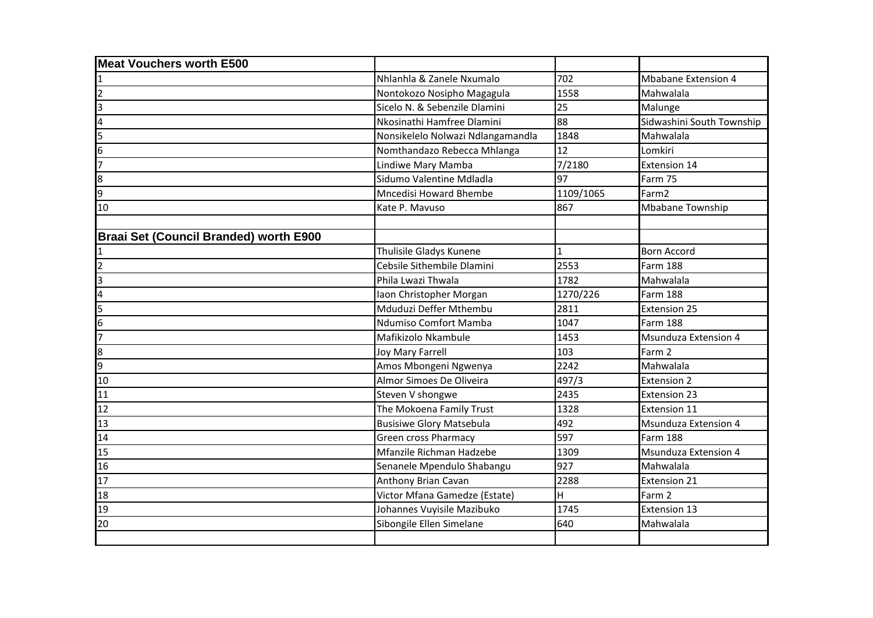| <b>Meat Vouchers worth E500</b>               |                                   |              |                             |
|-----------------------------------------------|-----------------------------------|--------------|-----------------------------|
|                                               | Nhlanhla & Zanele Nxumalo         | 702          | <b>Mbabane Extension 4</b>  |
|                                               | Nontokozo Nosipho Magagula        | 1558         | Mahwalala                   |
|                                               | Sicelo N. & Sebenzile Dlamini     | 25           | Malunge                     |
|                                               | Nkosinathi Hamfree Dlamini        | 88           | Sidwashini South Township   |
|                                               | Nonsikelelo Nolwazi Ndlangamandla | 1848         | Mahwalala                   |
|                                               | Nomthandazo Rebecca Mhlanga       | 12           | Lomkiri                     |
|                                               | Lindiwe Mary Mamba                | 7/2180       | Extension 14                |
|                                               | Sidumo Valentine Mdladla          | 97           | Farm 75                     |
|                                               | <b>Mncedisi Howard Bhembe</b>     | 1109/1065    | Farm2                       |
| 10                                            | Kate P. Mayuso                    | 867          | <b>Mbabane Township</b>     |
| <b>Braai Set (Council Branded) worth E900</b> |                                   |              |                             |
|                                               | Thulisile Gladys Kunene           | $\mathbf{1}$ | <b>Born Accord</b>          |
|                                               | Cebsile Sithembile Dlamini        | 2553         | <b>Farm 188</b>             |
|                                               | Phila Lwazi Thwala                | 1782         | Mahwalala                   |
|                                               | Iaon Christopher Morgan           | 1270/226     | <b>Farm 188</b>             |
|                                               | Mduduzi Deffer Mthembu            | 2811         | <b>Extension 25</b>         |
|                                               | Ndumiso Comfort Mamba             | 1047         | Farm 188                    |
|                                               | Mafikizolo Nkambule               | 1453         | <b>Msunduza Extension 4</b> |
|                                               | Joy Mary Farrell                  | 103          | Farm 2                      |
|                                               | Amos Mbongeni Ngwenya             | 2242         | Mahwalala                   |
| 10                                            | Almor Simoes De Oliveira          | 497/3        | <b>Extension 2</b>          |
| 11                                            | Steven V shongwe                  | 2435         | <b>Extension 23</b>         |
| 12                                            | The Mokoena Family Trust          | 1328         | Extension 11                |
| 13                                            | <b>Busisiwe Glory Matsebula</b>   | 492          | <b>Msunduza Extension 4</b> |
| 14                                            | <b>Green cross Pharmacy</b>       | 597          | <b>Farm 188</b>             |
| 15                                            | Mfanzile Richman Hadzebe          | 1309         | <b>Msunduza Extension 4</b> |
| 16                                            | Senanele Mpendulo Shabangu        | 927          | Mahwalala                   |
| 17                                            | Anthony Brian Cavan               | 2288         | Extension 21                |
| 18                                            | Victor Mfana Gamedze (Estate)     | H            | Farm 2                      |
| 19                                            | Johannes Vuyisile Mazibuko        | 1745         | Extension 13                |
| 20                                            | Sibongile Ellen Simelane          | 640          | Mahwalala                   |